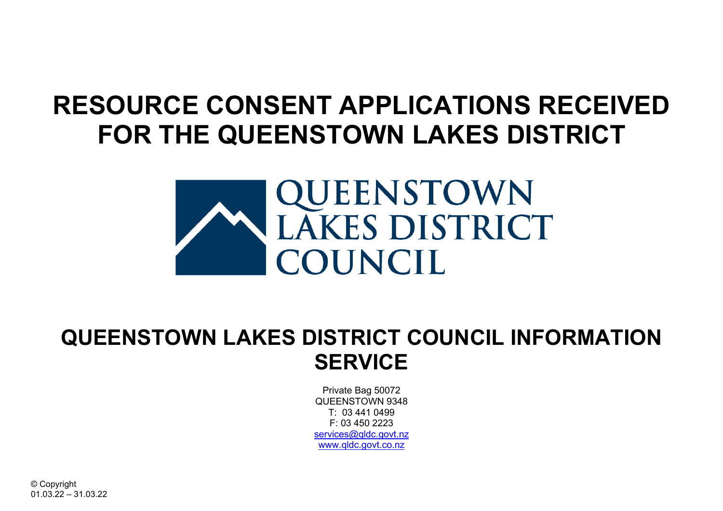## **RESOURCE CONSENT APPLICATIONS RECEIVED FOR THE QUEENSTOWN LAKES DISTRICT**



## **QUEENSTOWN LAKES DISTRICT COUNCIL INFORMATION SERVICE**

Private Bag 50072 QUEENSTOWN 9348 T: 03 441 0499  $F: 03450223$ services@gldc.govt.nz [www.qldc.govt.co.nz](http://www.qldc.govt.co.nz/)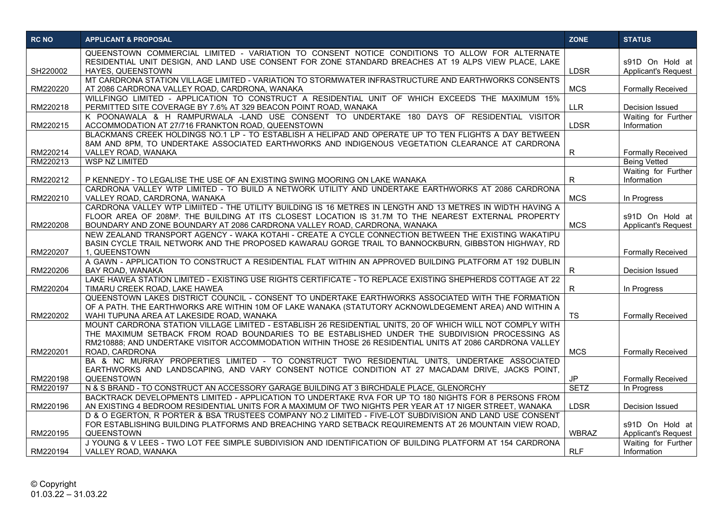| <b>RC NO</b> | <b>APPLICANT &amp; PROPOSAL</b>                                                                                                                                                                                                                                                                                                          | <b>ZONE</b>  | <b>STATUS</b>                                 |
|--------------|------------------------------------------------------------------------------------------------------------------------------------------------------------------------------------------------------------------------------------------------------------------------------------------------------------------------------------------|--------------|-----------------------------------------------|
| SH220002     | QUEENSTOWN COMMERCIAL LIMITED - VARIATION TO CONSENT NOTICE CONDITIONS TO ALLOW FOR ALTERNATE<br>RESIDENTIAL UNIT DESIGN, AND LAND USE CONSENT FOR ZONE STANDARD BREACHES AT 19 ALPS VIEW PLACE, LAKE<br>HAYES, QUEENSTOWN                                                                                                               | <b>LDSR</b>  | s91D On Hold at<br><b>Applicant's Request</b> |
| RM220220     | MT CARDRONA STATION VILLAGE LIMITED - VARIATION TO STORMWATER INFRASTRUCTURE AND EARTHWORKS CONSENTS<br>AT 2086 CARDRONA VALLEY ROAD, CARDRONA, WANAKA                                                                                                                                                                                   | <b>MCS</b>   | <b>Formally Received</b>                      |
| RM220218     | WILLFINGO LIMITED - APPLICATION TO CONSTRUCT A RESIDENTIAL UNIT OF WHICH EXCEEDS THE MAXIMUM 15%<br>PERMITTED SITE COVERAGE BY 7.6% AT 329 BEACON POINT ROAD, WANAKA                                                                                                                                                                     | <b>LLR</b>   | Decision Issued                               |
| RM220215     | K POONAWALA & H RAMPURWALA -LAND USE CONSENT TO UNDERTAKE 180 DAYS OF RESIDENTIAL VISITOR<br>ACCOMMODATION AT 27/716 FRANKTON ROAD, QUEENSTOWN                                                                                                                                                                                           | <b>LDSR</b>  | Waiting for Further<br>Information            |
| RM220214     | BLACKMANS CREEK HOLDINGS NO.1 LP - TO ESTABLISH A HELIPAD AND OPERATE UP TO TEN FLIGHTS A DAY BETWEEN<br>8AM AND 8PM, TO UNDERTAKE ASSOCIATED EARTHWORKS AND INDIGENOUS VEGETATION CLEARANCE AT CARDRONA<br>VALLEY ROAD, WANAKA                                                                                                          | R            | <b>Formally Received</b>                      |
| RM220213     | <b>WSP NZ LIMITED</b>                                                                                                                                                                                                                                                                                                                    |              | <b>Being Vetted</b>                           |
| RM220212     | P KENNEDY - TO LEGALISE THE USE OF AN EXISTING SWING MOORING ON LAKE WANAKA                                                                                                                                                                                                                                                              | R            | Waiting for Further<br>Information            |
| RM220210     | CARDRONA VALLEY WTP LIMITED - TO BUILD A NETWORK UTILITY AND UNDERTAKE EARTHWORKS AT 2086 CARDRONA<br>VALLEY ROAD, CARDRONA, WANAKA                                                                                                                                                                                                      | <b>MCS</b>   | In Progress                                   |
| RM220208     | CARDRONA VALLEY WTP LIMIITED - THE UTILITY BUILDING IS 16 METRES IN LENGTH AND 13 METRES IN WIDTH HAVING A<br>FLOOR AREA OF 208M <sup>2</sup> . THE BUILDING AT ITS CLOSEST LOCATION IS 31.7M TO THE NEAREST EXTERNAL PROPERTY<br>BOUNDARY AND ZONE BOUNDARY AT 2086 CARDRONA VALLEY ROAD, CARDRONA, WANAKA                              | <b>MCS</b>   | s91D On Hold at<br><b>Applicant's Request</b> |
| RM220207     | NEW ZEALAND TRANSPORT AGENCY - WAKA KOTAHI - CREATE A CYCLE CONNECTION BETWEEN THE EXISTING WAKATIPU<br>BASIN CYCLE TRAIL NETWORK AND THE PROPOSED KAWARAU GORGE TRAIL TO BANNOCKBURN, GIBBSTON HIGHWAY, RD<br>1, QUEENSTOWN                                                                                                             |              | <b>Formally Received</b>                      |
| RM220206     | A GAWN - APPLICATION TO CONSTRUCT A RESIDENTIAL FLAT WITHIN AN APPROVED BUILDING PLATFORM AT 192 DUBLIN<br>BAY ROAD, WANAKA                                                                                                                                                                                                              | R.           | <b>Decision Issued</b>                        |
| RM220204     | LAKE HAWEA STATION LIMITED - EXISTING USE RIGHTS CERTIFICATE - TO REPLACE EXISTING SHEPHERDS COTTAGE AT 22<br>TIMARU CREEK ROAD, LAKE HAWEA                                                                                                                                                                                              | R.           | In Progress                                   |
| RM220202     | QUEENSTOWN LAKES DISTRICT COUNCIL - CONSENT TO UNDERTAKE EARTHWORKS ASSOCIATED WITH THE FORMATION<br>OF A PATH. THE EARTHWORKS ARE WITHIN 10M OF LAKE WANAKA (STATUTORY ACKNOWLDEGEMENT AREA) AND WITHIN A<br>WAHI TUPUNA AREA AT LAKESIDE ROAD, WANAKA                                                                                  | <b>TS</b>    | <b>Formally Received</b>                      |
| RM220201     | MOUNT CARDRONA STATION VILLAGE LIMITED - ESTABLISH 26 RESIDENTIAL UNITS, 20 OF WHICH WILL NOT COMPLY WITH<br>THE MAXIMUM SETBACK FROM ROAD BOUNDARIES TO BE ESTABLISHED UNDER THE SUBDIVISION PROCESSING AS<br>RM210888: AND UNDERTAKE VISITOR ACCOMMODATION WITHIN THOSE 26 RESIDENTIAL UNITS AT 2086 CARDRONA VALLEY<br>ROAD, CARDRONA | <b>MCS</b>   | <b>Formally Received</b>                      |
| RM220198     | BA & NC MURRAY PROPERTIES LIMITED - TO CONSTRUCT TWO RESIDENTIAL UNITS, UNDERTAKE ASSOCIATED<br>EARTHWORKS AND LANDSCAPING, AND VARY CONSENT NOTICE CONDITION AT 27 MACADAM DRIVE, JACKS POINT,<br>QUEENSTOWN                                                                                                                            | <b>JP</b>    | <b>Formally Received</b>                      |
| RM220197     | N & S BRAND - TO CONSTRUCT AN ACCESSORY GARAGE BUILDING AT 3 BIRCHDALE PLACE, GLENORCHY                                                                                                                                                                                                                                                  | <b>SETZ</b>  | In Progress                                   |
| RM220196     | BACKTRACK DEVELOPMENTS LIMITED - APPLICATION TO UNDERTAKE RVA FOR UP TO 180 NIGHTS FOR 8 PERSONS FROM<br>AN EXISTING 4 BEDROOM RESIDENTIAL UNITS FOR A MAXIMUM OF TWO NIGHTS PER YEAR AT 17 NIGER STREET, WANAKA                                                                                                                         | <b>LDSR</b>  | Decision Issued                               |
| RM220195     | D & O EGERTON, R PORTER & BSA TRUSTEES COMPANY NO.2 LIMITED - FIVE-LOT SUBDIVISION AND LAND USE CONSENT<br>FOR ESTABLISHING BUILDING PLATFORMS AND BREACHING YARD SETBACK REQUIREMENTS AT 26 MOUNTAIN VIEW ROAD,<br>QUEENSTOWN                                                                                                           | <b>WBRAZ</b> | s91D On Hold at<br><b>Applicant's Request</b> |
| RM220194     | J YOUNG & V LEES - TWO LOT FEE SIMPLE SUBDIVISION AND IDENTIFICATION OF BUILDING PLATFORM AT 154 CARDRONA<br>VALLEY ROAD, WANAKA                                                                                                                                                                                                         | <b>RLF</b>   | Waiting for Further<br>Information            |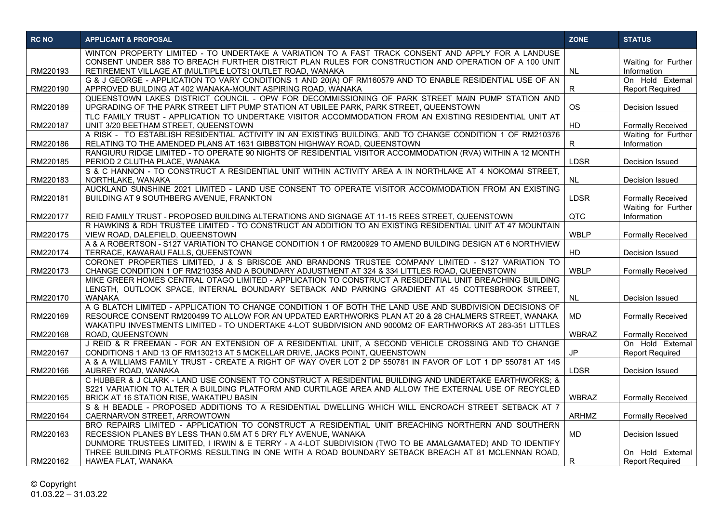| <b>RC NO</b> | <b>APPLICANT &amp; PROPOSAL</b>                                                                                                                                                                                   | <b>ZONE</b>  | <b>STATUS</b>                              |
|--------------|-------------------------------------------------------------------------------------------------------------------------------------------------------------------------------------------------------------------|--------------|--------------------------------------------|
|              | WINTON PROPERTY LIMITED - TO UNDERTAKE A VARIATION TO A FAST TRACK CONSENT AND APPLY FOR A LANDUSE                                                                                                                |              |                                            |
| RM220193     | CONSENT UNDER S88 TO BREACH FURTHER DISTRICT PLAN RULES FOR CONSTRUCTION AND OPERATION OF A 100 UNIT<br>RETIREMENT VILLAGE AT (MULTIPLE LOTS) OUTLET ROAD, WANAKA                                                 | <b>NL</b>    | Waiting for Further<br>Information         |
|              | G & J GEORGE - APPLICATION TO VARY CONDITIONS 1 AND 20(A) OF RM160579 AND TO ENABLE RESIDENTIAL USE OF AN                                                                                                         |              | On Hold External                           |
| RM220190     | APPROVED BUILDING AT 402 WANAKA-MOUNT ASPIRING ROAD, WANAKA                                                                                                                                                       | R            | <b>Report Required</b>                     |
| RM220189     | QUEENSTOWN LAKES DISTRICT COUNCIL - OPW FOR DECOMMISSIONING OF PARK STREET MAIN PUMP STATION AND<br>UPGRADING OF THE PARK STREET LIFT PUMP STATION AT UBILEE PARK, PARK STREET, QUEENSTOWN                        | <b>OS</b>    | Decision Issued                            |
|              | TLC FAMILY TRUST - APPLICATION TO UNDERTAKE VISITOR ACCOMMODATION FROM AN EXISTING RESIDENTIAL UNIT AT                                                                                                            |              |                                            |
| RM220187     | UNIT 3/20 BEETHAM STREET, QUEENSTOWN                                                                                                                                                                              | HD           | <b>Formally Received</b>                   |
|              | A RISK - TO ESTABLISH RESIDENTIAL ACTIVITY IN AN EXISTING BUILDING, AND TO CHANGE CONDITION 1 OF RM210376                                                                                                         |              | Waiting for Further                        |
| RM220186     | RELATING TO THE AMENDED PLANS AT 1631 GIBBSTON HIGHWAY ROAD, QUEENSTOWN<br>RANGIURU RIDGE LIMITED - TO OPERATE 90 NIGHTS OF RESIDENTIAL VISITOR ACCOMMODATION (RVA) WITHIN A 12 MONTH                             | R.           | Information                                |
| RM220185     | PERIOD 2 CLUTHA PLACE, WANAKA                                                                                                                                                                                     | <b>LDSR</b>  | Decision Issued                            |
|              | S & C HANNON - TO CONSTRUCT A RESIDENTIAL UNIT WITHIN ACTIVITY AREA A IN NORTHLAKE AT 4 NOKOMAI STREET,                                                                                                           |              |                                            |
| RM220183     | NORTHLAKE, WANAKA                                                                                                                                                                                                 | NL.          | Decision Issued                            |
| RM220181     | AUCKLAND SUNSHINE 2021 LIMITED - LAND USE CONSENT TO OPERATE VISITOR ACCOMMODATION FROM AN EXISTING<br>BUILDING AT 9 SOUTHBERG AVENUE, FRANKTON                                                                   | <b>LDSR</b>  | <b>Formally Received</b>                   |
|              |                                                                                                                                                                                                                   |              | Waiting for Further                        |
| RM220177     | REID FAMILY TRUST - PROPOSED BUILDING ALTERATIONS AND SIGNAGE AT 11-15 REES STREET, QUEENSTOWN                                                                                                                    | QTC          | Information                                |
|              | R HAWKINS & RDH TRUSTEE LIMITED - TO CONSTRUCT AN ADDITION TO AN EXISTING RESIDENTIAL UNIT AT 47 MOUNTAIN                                                                                                         |              |                                            |
| RM220175     | VIEW ROAD, DALEFIELD, QUEENSTOWN<br>A & A ROBERTSON - S127 VARIATION TO CHANGE CONDITION 1 OF RM200929 TO AMEND BUILDING DESIGN AT 6 NORTHVIEW                                                                    | <b>WBLP</b>  | <b>Formally Received</b>                   |
| RM220174     | TERRACE, KAWARAU FALLS, QUEENSTOWN                                                                                                                                                                                | HD           | Decision Issued                            |
|              | CORONET PROPERTIES LIMITED, J & S BRISCOE AND BRANDONS TRUSTEE COMPANY LIMITED - S127 VARIATION TO                                                                                                                |              |                                            |
| RM220173     | CHANGE CONDITION 1 OF RM210358 AND A BOUNDARY ADJUSTMENT AT 324 & 334 LITTLES ROAD, QUEENSTOWN                                                                                                                    | <b>WBLP</b>  | <b>Formally Received</b>                   |
|              | MIKE GREER HOMES CENTRAL OTAGO LIMITED - APPLICATION TO CONSTRUCT A RESIDENTIAL UNIT BREACHING BUILDING<br>LENGTH, OUTLOOK SPACE, INTERNAL BOUNDARY SETBACK AND PARKING GRADIENT AT 45 COTTESBROOK STREET,        |              |                                            |
| RM220170     | WANAKA                                                                                                                                                                                                            | NL.          | Decision Issued                            |
|              | A G BLATCH LIMITED - APPLICATION TO CHANGE CONDITION 1 OF BOTH THE LAND USE AND SUBDIVISION DECISIONS OF                                                                                                          |              |                                            |
| RM220169     | RESOURCE CONSENT RM200499 TO ALLOW FOR AN UPDATED EARTHWORKS PLAN AT 20 & 28 CHALMERS STREET, WANAKA<br>WAKATIPU INVESTMENTS LIMITED - TO UNDERTAKE 4-LOT SUBDIVISION AND 9000M2 OF EARTHWORKS AT 283-351 LITTLES | <b>MD</b>    | <b>Formally Received</b>                   |
| RM220168     | ROAD, QUEENSTOWN                                                                                                                                                                                                  | <b>WBRAZ</b> | <b>Formally Received</b>                   |
|              | J REID & R FREEMAN - FOR AN EXTENSION OF A RESIDENTIAL UNIT, A SECOND VEHICLE CROSSING AND TO CHANGE                                                                                                              |              | On Hold External                           |
| RM220167     | CONDITIONS 1 AND 13 OF RM130213 AT 5 MCKELLAR DRIVE, JACKS POINT, QUEENSTOWN                                                                                                                                      | <b>JP</b>    | <b>Report Required</b>                     |
| RM220166     | A & A WILLIAMS FAMILY TRUST - CREATE A RIGHT OF WAY OVER LOT 2 DP 550781 IN FAVOR OF LOT 1 DP 550781 AT 145<br>AUBREY ROAD, WANAKA                                                                                | <b>LDSR</b>  | Decision Issued                            |
|              | C HUBBER & J CLARK - LAND USE CONSENT TO CONSTRUCT A RESIDENTIAL BUILDING AND UNDERTAKE EARTHWORKS; &                                                                                                             |              |                                            |
|              | S221 VARIATION TO ALTER A BUILDING PLATFORM AND CURTILAGE AREA AND ALLOW THE EXTERNAL USE OF RECYCLED                                                                                                             |              |                                            |
| RM220165     | BRICK AT 16 STATION RISE, WAKATIPU BASIN                                                                                                                                                                          | <b>WBRAZ</b> | <b>Formally Received</b>                   |
| RM220164     | S & H BEADLE - PROPOSED ADDITIONS TO A RESIDENTIAL DWELLING WHICH WILL ENCROACH STREET SETBACK AT 7<br>CAERNARVON STREET, ARROWTOWN                                                                               | <b>ARHMZ</b> | <b>Formally Received</b>                   |
|              | BRO REPAIRS LIMITED - APPLICATION TO CONSTRUCT A RESIDENTIAL UNIT BREACHING NORTHERN AND SOUTHERN                                                                                                                 |              |                                            |
| RM220163     | RECESSION PLANES BY LESS THAN 0.5M AT 5 DRY FLY AVENUE, WANAKA                                                                                                                                                    | MD           | Decision Issued                            |
|              | DUNMORE TRUSTEES LIMITED, I IRWIN & E TERRY - A 4-LOT SUBDIVISION (TWO TO BE AMALGAMATED) AND TO IDENTIFY                                                                                                         |              |                                            |
| RM220162     | THREE BUILDING PLATFORMS RESULTING IN ONE WITH A ROAD BOUNDARY SETBACK BREACH AT 81 MCLENNAN ROAD.<br>HAWEA FLAT, WANAKA                                                                                          | R            | On Hold External<br><b>Report Required</b> |
|              |                                                                                                                                                                                                                   |              |                                            |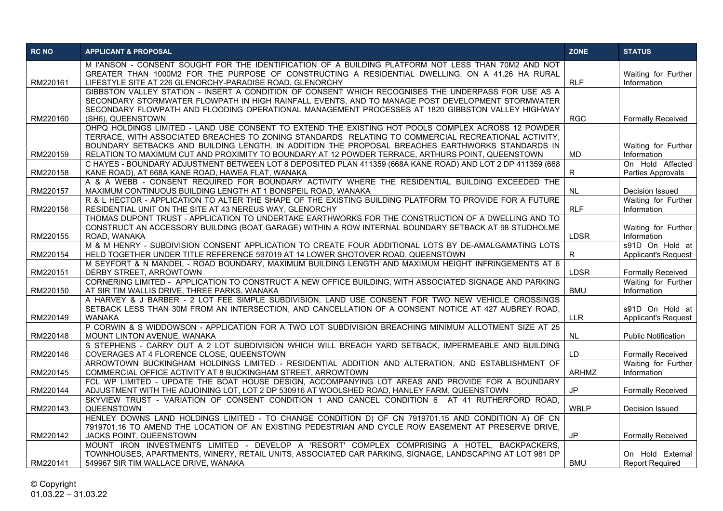| <b>RC NO</b> | <b>APPLICANT &amp; PROPOSAL</b>                                                                                                                                                                                                                                                                             | <b>ZONE</b>  | <b>STATUS</b>                                 |
|--------------|-------------------------------------------------------------------------------------------------------------------------------------------------------------------------------------------------------------------------------------------------------------------------------------------------------------|--------------|-----------------------------------------------|
| RM220161     | M l'ANSON - CONSENT SOUGHT FOR THE IDENTIFICATION OF A BUILDING PLATFORM NOT LESS THAN 70M2 AND NOT<br>GREATER THAN 1000M2 FOR THE PURPOSE OF CONSTRUCTING A RESIDENTIAL DWELLING, ON A 41.26 HA RURAL<br>LIFESTYLE SITE AT 226 GLENORCHY-PARADISE ROAD, GLENORCHY                                          | <b>RLF</b>   | Waiting for Further<br>Information            |
|              | GIBBSTON VALLEY STATION - INSERT A CONDITION OF CONSENT WHICH RECOGNISES THE UNDERPASS FOR USE AS A<br>SECONDARY STORMWATER FLOWPATH IN HIGH RAINFALL EVENTS, AND TO MANAGE POST DEVELOPMENT STORMWATER<br>SECONDARY FLOWPATH AND FLOODING OPERATIONAL MANAGEMENT PROCESSES AT 1820 GIBBSTON VALLEY HIGHWAY |              |                                               |
| RM220160     | (SH6), QUEENSTOWN<br>OHPQ HOLDINGS LIMITED - LAND USE CONSENT TO EXTEND THE EXISTING HOT POOLS COMPLEX ACROSS 12 POWDER                                                                                                                                                                                     | <b>RGC</b>   | <b>Formally Received</b>                      |
|              | TERRACE, WITH ASSOCIATED BREACHES TO ZONING STANDARDS RELATING TO COMMERCIAL RECREATIONAL ACTIVITY,<br>BOUNDARY SETBACKS AND BUILDING LENGTH. IN ADDITION THE PROPOSAL BREACHES EARTHWORKS STANDARDS IN                                                                                                     |              | Waiting for Further                           |
| RM220159     | RELATION TO MAXIMUM CUT AND PROXIMITY TO BOUNDARY AT 12 POWDER TERRACE, ARTHURS POINT, QUEENSTOWN                                                                                                                                                                                                           | <b>MD</b>    | Information                                   |
| RM220158     | C HAYES - BOUNDARY ADJUSTMENT BETWEEN LOT 8 DEPOSITED PLAN 411359 (668A KANE ROAD) AND LOT 2 DP 411359 (668<br>KANE ROAD), AT 668A KANE ROAD, HAWEA FLAT, WANAKA                                                                                                                                            | R            | On Hold Affected<br>Parties Approvals         |
| RM220157     | A & A WEBB - CONSENT REQUIRED FOR BOUNDARY ACTIVITY WHERE THE RESIDENTIAL BUILDING EXCEEDED THE<br>MAXIMUM CONTINUOUS BUILDING LENGTH AT 1 BONSPEIL ROAD, WANAKA                                                                                                                                            | <b>NL</b>    | Decision Issued                               |
| RM220156     | R & L HECTOR - APPLICATION TO ALTER THE SHAPE OF THE EXISTING BUILDING PLATFORM TO PROVIDE FOR A FUTURE<br>RESIDENTIAL UNIT ON THE SITE AT 43 NEREUS WAY, GLENORCHY                                                                                                                                         | <b>RLF</b>   | Waiting for Further<br>Information            |
| RM220155     | THOMAS DUPONT TRUST - APPLICATION TO UNDERTAKE EARTHWORKS FOR THE CONSTRUCTION OF A DWELLING AND TO<br>CONSTRUCT AN ACCESSORY BUILDING (BOAT GARAGE) WITHIN A ROW INTERNAL BOUNDARY SETBACK AT 98 STUDHOLME<br>ROAD, WANAKA                                                                                 | <b>LDSR</b>  | Waiting for Further<br>Information            |
| RM220154     | M & M HENRY - SUBDIVISION CONSENT APPLICATION TO CREATE FOUR ADDITIONAL LOTS BY DE-AMALGAMATING LOTS<br>HELD TOGETHER UNDER TITLE REFERENCE 597019 AT 14 LOWER SHOTOVER ROAD, QUEENSTOWN                                                                                                                    | R            | s91D On Hold at<br><b>Applicant's Request</b> |
| RM220151     | M SEYFORT & N MANDEL - ROAD BOUNDARY, MAXIMUM BUILDING LENGTH AND MAXIMUM HEIGHT INFRINGEMENTS AT 6<br>DERBY STREET, ARROWTOWN                                                                                                                                                                              | <b>LDSR</b>  | <b>Formally Received</b>                      |
| RM220150     | CORNERING LIMITED - APPLICATION TO CONSTRUCT A NEW OFFICE BUILDING, WITH ASSOCIATED SIGNAGE AND PARKING<br>AT SIR TIM WALLIS DRIVE, THREE PARKS, WANAKA                                                                                                                                                     | <b>BMU</b>   | Waiting for Further<br>Information            |
| RM220149     | A HARVEY & J BARBER - 2 LOT FEE SIMPLE SUBDIVISION, LAND USE CONSENT FOR TWO NEW VEHICLE CROSSINGS<br>SETBACK LESS THAN 30M FROM AN INTERSECTION, AND CANCELLATION OF A CONSENT NOTICE AT 427 AUBREY ROAD,<br>WANAKA                                                                                        | <b>LLR</b>   | s91D On Hold at<br><b>Applicant's Request</b> |
| RM220148     | P CORWIN & S WIDDOWSON - APPLICATION FOR A TWO LOT SUBDIVISION BREACHING MINIMUM ALLOTMENT SIZE AT 25<br>MOUNT LINTON AVENUE, WANAKA                                                                                                                                                                        | <b>NL</b>    | <b>Public Notification</b>                    |
| RM220146     | S STEPHENS - CARRY OUT A 2 LOT SUBDIVISION WHICH WILL BREACH YARD SETBACK, IMPERMEABLE AND BUILDING<br>COVERAGES AT 4 FLORENCE CLOSE, QUEENSTOWN                                                                                                                                                            | LD           | <b>Formally Received</b>                      |
| RM220145     | ARROWTOWN BUCKINGHAM HOLDINGS LIMITED - RESIDENTIAL ADDITION AND ALTERATION, AND ESTABLISHMENT OF<br>COMMERCIAL OFFICE ACTIVITY AT 8 BUCKINGHAM STREET, ARROWTOWN                                                                                                                                           | <b>ARHMZ</b> | Waiting for Further<br>Information            |
| RM220144     | FCL WP LIMITED - UPDATE THE BOAT HOUSE DESIGN, ACCOMPANYING LOT AREAS AND PROVIDE FOR A BOUNDARY<br>ADJUSTMENT WITH THE ADJOINING LOT, LOT 2 DP 530916 AT WOOLSHED ROAD, HANLEY FARM, QUEENSTOWN                                                                                                            | <b>JP</b>    | <b>Formally Received</b>                      |
| RM220143     | SKYVIEW TRUST - VARIATION OF CONSENT CONDITION 1 AND CANCEL CONDITION 6 AT 41 RUTHERFORD ROAD,<br>QUEENSTOWN                                                                                                                                                                                                | <b>WBLP</b>  | Decision Issued                               |
| RM220142     | HENLEY DOWNS LAND HOLDINGS LIMITED - TO CHANGE CONDITION D) OF CN 7919701.15 AND CONDITION A) OF CN<br>7919701.16 TO AMEND THE LOCATION OF AN EXISTING PEDESTRIAN AND CYCLE ROW EASEMENT AT PRESERVE DRIVE.<br>JACKS POINT, QUEENSTOWN                                                                      | JP           | <b>Formally Received</b>                      |
| RM220141     | MOUNT IRON INVESTMENTS LIMITED - DEVELOP A 'RESORT' COMPLEX COMPRISING A HOTEL, BACKPACKERS,<br>TOWNHOUSES, APARTMENTS, WINERY, RETAIL UNITS, ASSOCIATED CAR PARKING, SIGNAGE, LANDSCAPING AT LOT 981 DP<br>549967 SIR TIM WALLACE DRIVE, WANAKA                                                            | <b>BMU</b>   | On Hold External<br><b>Report Required</b>    |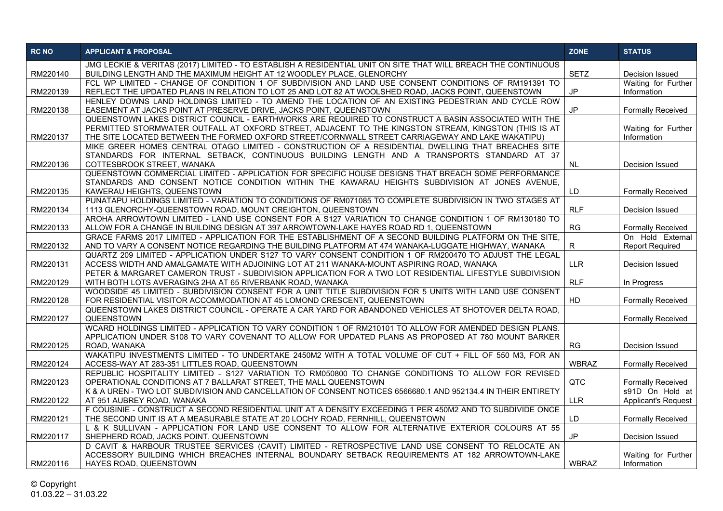| <b>RC NO</b> | <b>APPLICANT &amp; PROPOSAL</b>                                                                                                                                                                                                                                                                                  | <b>ZONE</b>  | <b>STATUS</b>                                 |
|--------------|------------------------------------------------------------------------------------------------------------------------------------------------------------------------------------------------------------------------------------------------------------------------------------------------------------------|--------------|-----------------------------------------------|
| RM220140     | JMG LECKIE & VERITAS (2017) LIMITED - TO ESTABLISH A RESIDENTIAL UNIT ON SITE THAT WILL BREACH THE CONTINUOUS<br>BUILDING LENGTH AND THE MAXIMUM HEIGHT AT 12 WOODLEY PLACE, GLENORCHY                                                                                                                           | <b>SETZ</b>  | Decision Issued                               |
| RM220139     | FCL WP LIMITED - CHANGE OF CONDITION 1 OF SUBDIVISION AND LAND USE CONSENT CONDITIONS OF RM191391 TO<br>REFLECT THE UPDATED PLANS IN RELATION TO LOT 25 AND LOT 82 AT WOOLSHED ROAD, JACKS POINT, QUEENSTOWN                                                                                                     | JP.          | Waiting for Further<br>Information            |
| RM220138     | HENLEY DOWNS LAND HOLDINGS LIMITED - TO AMEND THE LOCATION OF AN EXISTING PEDESTRIAN AND CYCLE ROW<br>EASEMENT AT JACKS POINT AT PRESERVE DRIVE, JACKS POINT, QUEENSTOWN                                                                                                                                         | <b>JP</b>    | <b>Formally Received</b>                      |
| RM220137     | QUEENSTOWN LAKES DISTRICT COUNCIL - EARTHWORKS ARE REQUIRED TO CONSTRUCT A BASIN ASSOCIATED WITH THE<br>PERMITTED STORMWATER OUTFALL AT OXFORD STREET, ADJACENT TO THE KINGSTON STREAM, KINGSTON (THIS IS AT<br>THE SITE LOCATED BETWEEN THE FORMED OXFORD STREET/CORNWALL STREET CARRIAGEWAY AND LAKE WAKATIPU) |              | Waiting for Further<br>Information            |
|              | MIKE GREER HOMES CENTRAL OTAGO LIMITED - CONSTRUCTION OF A RESIDENTIAL DWELLING THAT BREACHES SITE<br>STANDARDS FOR INTERNAL SETBACK, CONTINUOUS BUILDING LENGTH AND A TRANSPORTS STANDARD AT 37                                                                                                                 |              |                                               |
| RM220136     | COTTESBROOK STREET, WANAKA<br>QUEENSTOWN COMMERCIAL LIMITED - APPLICATION FOR SPECIFIC HOUSE DESIGNS THAT BREACH SOME PERFORMANCE                                                                                                                                                                                | <b>NL</b>    | Decision Issued                               |
| RM220135     | STANDARDS AND CONSENT NOTICE CONDITION WITHIN THE KAWARAU HEIGHTS SUBDIVISION AT JONES AVENUE.<br>KAWERAU HEIGHTS, QUEENSTOWN                                                                                                                                                                                    | LD           | <b>Formally Received</b>                      |
| RM220134     | PUNATAPU HOLDINGS LIMITED - VARIATION TO CONDITIONS OF RM071085 TO COMPLETE SUBDIVISION IN TWO STAGES AT<br>1113 GLENORCHY-QUEENSTOWN ROAD, MOUNT CREIGHTON, QUEENSTOWN                                                                                                                                          | <b>RLF</b>   | Decision Issued                               |
| RM220133     | AROHA ARROWTOWN LIMITED - LAND USE CONSENT FOR A S127 VARIATION TO CHANGE CONDITION 1 OF RM130180 TO<br>ALLOW FOR A CHANGE IN BUILDING DESIGN AT 397 ARROWTOWN-LAKE HAYES ROAD RD 1, QUEENSTOWN                                                                                                                  | <b>RG</b>    | <b>Formally Received</b>                      |
| RM220132     | GRACE FARMS 2017 LIMITED - APPLICATION FOR THE ESTABLISHMENT OF A SECOND BUILDING PLATFORM ON THE SITE,<br>AND TO VARY A CONSENT NOTICE REGARDING THE BUILDING PLATFORM AT 474 WANAKA-LUGGATE HIGHWAY, WANAKA                                                                                                    | R.           | On Hold External<br><b>Report Required</b>    |
| RM220131     | QUARTZ 209 LIMITED - APPLICATION UNDER S127 TO VARY CONSENT CONDITION 1 OF RM200470 TO ADJUST THE LEGAL<br>ACCESS WIDTH AND AMALGAMATE WITH ADJOINING LOT AT 211 WANAKA-MOUNT ASPIRING ROAD, WANAKA                                                                                                              | <b>LLR</b>   | Decision Issued                               |
| RM220129     | PETER & MARGARET CAMERON TRUST - SUBDIVISION APPLICATION FOR A TWO LOT RESIDENTIAL LIFESTYLE SUBDIVISION<br>WITH BOTH LOTS AVERAGING 2HA AT 65 RIVERBANK ROAD, WANAKA                                                                                                                                            | <b>RLF</b>   | In Progress                                   |
| RM220128     | WOODSIDE 45 LIMITED - SUBDIVISION CONSENT FOR A UNIT TITLE SUBDIVISION FOR 5 UNITS WITH LAND USE CONSENT<br>FOR RESIDENTIAL VISITOR ACCOMMODATION AT 45 LOMOND CRESCENT, QUEENSTOWN                                                                                                                              | HD           | <b>Formally Received</b>                      |
| RM220127     | QUEENSTOWN LAKES DISTRICT COUNCIL - OPERATE A CAR YARD FOR ABANDONED VEHICLES AT SHOTOVER DELTA ROAD,<br>QUEENSTOWN                                                                                                                                                                                              |              | <b>Formally Received</b>                      |
| RM220125     | WCARD HOLDINGS LIMITED - APPLICATION TO VARY CONDITION 1 OF RM210101 TO ALLOW FOR AMENDED DESIGN PLANS.<br>APPLICATION UNDER S108 TO VARY COVENANT TO ALLOW FOR UPDATED PLANS AS PROPOSED AT 780 MOUNT BARKER<br>ROAD, WANAKA                                                                                    | RG           | Decision Issued                               |
| RM220124     | WAKATIPU INVESTMENTS LIMITED - TO UNDERTAKE 2450M2 WITH A TOTAL VOLUME OF CUT + FILL OF 550 M3, FOR AN<br>ACCESS-WAY AT 283-351 LITTLES ROAD, QUEENSTOWN                                                                                                                                                         | <b>WBRAZ</b> | <b>Formally Received</b>                      |
| RM220123     | REPUBLIC HOSPITALITY LIMITED - S127 VARIATION TO RM050800 TO CHANGE CONDITIONS TO ALLOW FOR REVISED<br>OPERATIONAL CONDITIONS AT 7 BALLARAT STREET, THE MALL QUEENSTOWN                                                                                                                                          | QTC          | <b>Formally Received</b>                      |
| RM220122     | K & A UREN - TWO LOT SUBDIVISION AND CANCELLATION OF CONSENT NOTICES 6566680.1 AND 952134.4 IN THEIR ENTIRETY<br>AT 951 AUBREY ROAD, WANAKA                                                                                                                                                                      | <b>LLR</b>   | s91D On Hold at<br><b>Applicant's Request</b> |
| RM220121     | F COUSINIE - CONSTRUCT A SECOND RESIDENTIAL UNIT AT A DENSITY EXCEEDING 1 PER 450M2 AND TO SUBDIVIDE ONCE<br>THE SECOND UNIT IS AT A MEASURABLE STATE AT 20 LOCHY ROAD, FERNHILL, QUEENSTOWN                                                                                                                     | LD.          | <b>Formally Received</b>                      |
| RM220117     | L & K SULLIVAN - APPLICATION FOR LAND USE CONSENT TO ALLOW FOR ALTERNATIVE EXTERIOR COLOURS AT 55<br>SHEPHERD ROAD, JACKS POINT, QUEENSTOWN                                                                                                                                                                      | JP.          | Decision Issued                               |
| RM220116     | D CAVIT & HARBOUR TRUSTEE SERVICES (CAVIT) LIMITED - RETROSPECTIVE LAND USE CONSENT TO RELOCATE AN<br>ACCESSORY BUILDING WHICH BREACHES INTERNAL BOUNDARY SETBACK REQUIREMENTS AT 182 ARROWTOWN-LAKE<br>HAYES ROAD, QUEENSTOWN                                                                                   | WBRAZ        | Waiting for Further<br>Information            |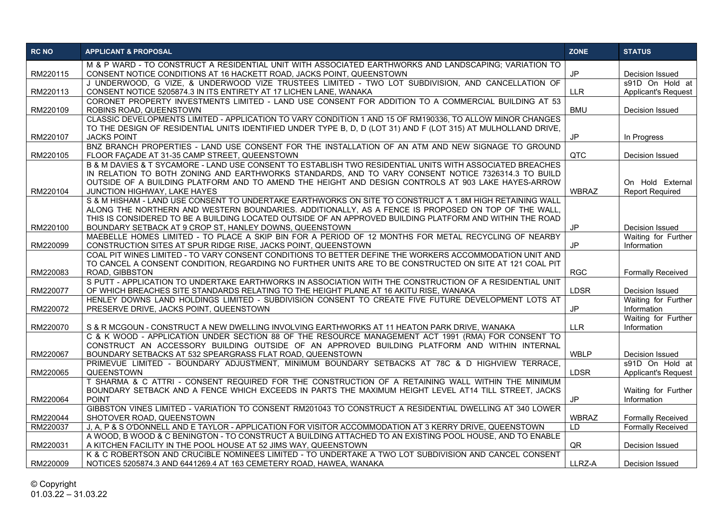| <b>RC NO</b> | <b>APPLICANT &amp; PROPOSAL</b>                                                                                                                                                                                                                                                                                                                      | <b>ZONE</b>  | <b>STATUS</b>                                 |
|--------------|------------------------------------------------------------------------------------------------------------------------------------------------------------------------------------------------------------------------------------------------------------------------------------------------------------------------------------------------------|--------------|-----------------------------------------------|
| RM220115     | M & P WARD - TO CONSTRUCT A RESIDENTIAL UNIT WITH ASSOCIATED EARTHWORKS AND LANDSCAPING; VARIATION TO<br>CONSENT NOTICE CONDITIONS AT 16 HACKETT ROAD, JACKS POINT, QUEENSTOWN                                                                                                                                                                       | <b>JP</b>    | Decision Issued                               |
| RM220113     | J UNDERWOOD, G VIZE, & UNDERWOOD VIZE TRUSTEES LIMITED - TWO LOT SUBDIVISION, AND CANCELLATION OF<br>CONSENT NOTICE 5205874.3 IN ITS ENTIRETY AT 17 LICHEN LANE, WANAKA                                                                                                                                                                              | <b>LLR</b>   | s91D On Hold at<br><b>Applicant's Request</b> |
| RM220109     | CORONET PROPERTY INVESTMENTS LIMITED - LAND USE CONSENT FOR ADDITION TO A COMMERCIAL BUILDING AT 53<br>ROBINS ROAD, QUEENSTOWN                                                                                                                                                                                                                       | <b>BMU</b>   | Decision Issued                               |
|              | CLASSIC DEVELOPMENTS LIMITED - APPLICATION TO VARY CONDITION 1 AND 15 OF RM190336, TO ALLOW MINOR CHANGES<br>TO THE DESIGN OF RESIDENTIAL UNITS IDENTIFIED UNDER TYPE B, D, D (LOT 31) AND F (LOT 315) AT MULHOLLAND DRIVE,                                                                                                                          |              |                                               |
| RM220107     | <b>JACKS POINT</b>                                                                                                                                                                                                                                                                                                                                   | <b>JP</b>    | In Progress                                   |
| RM220105     | BNZ BRANCH PROPERTIES - LAND USE CONSENT FOR THE INSTALLATION OF AN ATM AND NEW SIGNAGE TO GROUND<br>FLOOR FACADE AT 31-35 CAMP STREET, QUEENSTOWN                                                                                                                                                                                                   | <b>QTC</b>   | Decision Issued                               |
| RM220104     | B & M DAVIES & T SYCAMORE - LAND USE CONSENT TO ESTABLISH TWO RESIDENTIAL UNITS WITH ASSOCIATED BREACHES<br>IN RELATION TO BOTH ZONING AND EARTHWORKS STANDARDS, AND TO VARY CONSENT NOTICE 7326314.3 TO BUILD<br>OUTSIDE OF A BUILDING PLATFORM AND TO AMEND THE HEIGHT AND DESIGN CONTROLS AT 903 LAKE HAYES-ARROW<br>JUNCTION HIGHWAY, LAKE HAYES | <b>WBRAZ</b> | On Hold External<br><b>Report Required</b>    |
|              | S & M HISHAM - LAND USE CONSENT TO UNDERTAKE EARTHWORKS ON SITE TO CONSTRUCT A 1.8M HIGH RETAINING WALL<br>ALONG THE NORTHERN AND WESTERN BOUNDARIES. ADDITIONALLY, AS A FENCE IS PROPOSED ON TOP OF THE WALL,<br>THIS IS CONSIDERED TO BE A BUILDING LOCATED OUTSIDE OF AN APPROVED BUILDING PLATFORM AND WITHIN THE ROAD                           |              |                                               |
| RM220100     | BOUNDARY SETBACK AT 9 CROP ST, HANLEY DOWNS, QUEENSTOWN                                                                                                                                                                                                                                                                                              | <b>JP</b>    | Decision Issued                               |
| RM220099     | MAEBELLE HOMES LIMITED - TO PLACE A SKIP BIN FOR A PERIOD OF 12 MONTHS FOR METAL RECYCLING OF NEARBY<br>CONSTRUCTION SITES AT SPUR RIDGE RISE. JACKS POINT, QUEENSTOWN                                                                                                                                                                               | JP           | Waiting for Further<br>Information            |
| RM220083     | COAL PIT WINES LIMITED - TO VARY CONSENT CONDITIONS TO BETTER DEFINE THE WORKERS ACCOMMODATION UNIT AND<br>TO CANCEL A CONSENT CONDITION, REGARDING NO FURTHER UNITS ARE TO BE CONSTRUCTED ON SITE AT 121 COAL PIT<br>ROAD, GIBBSTON                                                                                                                 | <b>RGC</b>   | <b>Formally Received</b>                      |
| RM220077     | S PUTT - APPLICATION TO UNDERTAKE EARTHWORKS IN ASSOCIATION WITH THE CONSTRUCTION OF A RESIDENTIAL UNIT<br>OF WHICH BREACHES SITE STANDARDS RELATING TO THE HEIGHT PLANE AT 16 AKITU RISE, WANAKA                                                                                                                                                    | <b>LDSR</b>  | Decision Issued                               |
| RM220072     | HENLEY DOWNS LAND HOLDINGS LIMITED - SUBDIVISION CONSENT TO CREATE FIVE FUTURE DEVELOPMENT LOTS AT<br>PRESERVE DRIVE, JACKS POINT, QUEENSTOWN                                                                                                                                                                                                        | JP           | Waiting for Further<br>Information            |
| RM220070     | S & R MCGOUN - CONSTRUCT A NEW DWELLING INVOLVING EARTHWORKS AT 11 HEATON PARK DRIVE, WANAKA                                                                                                                                                                                                                                                         | <b>LLR</b>   | Waiting for Further<br>Information            |
| RM220067     | C & K WOOD - APPLICATION UNDER SECTION 88 OF THE RESOURCE MANAGEMENT ACT 1991 (RMA) FOR CONSENT TO<br>CONSTRUCT AN ACCESSORY BUILDING OUTSIDE OF AN APPROVED BUILDING PLATFORM AND WITHIN INTERNAL<br>BOUNDARY SETBACKS AT 532 SPEARGRASS FLAT ROAD, QUEENSTOWN                                                                                      | <b>WBLP</b>  | Decision Issued                               |
| RM220065     | PRIMEVUE LIMITED - BOUNDARY ADJUSTMENT, MINIMUM BOUNDARY SETBACKS AT 78C & D HIGHVIEW TERRACE,<br>QUEENSTOWN                                                                                                                                                                                                                                         | <b>LDSR</b>  | s91D On Hold at<br>Applicant's Request        |
| RM220064     | T SHARMA & C ATTRI - CONSENT REQUIRED FOR THE CONSTRUCTION OF A RETAINING WALL WITHIN THE MINIMUM<br>BOUNDARY SETBACK AND A FENCE WHICH EXCEEDS IN PARTS THE MAXIMUM HEIGHT LEVEL AT14 TILL STREET, JACKS<br><b>POINT</b>                                                                                                                            | JP           | Waiting for Further<br>Information            |
| RM220044     | GIBBSTON VINES LIMITED - VARIATION TO CONSENT RM201043 TO CONSTRUCT A RESIDENTIAL DWELLING AT 340 LOWER<br>SHOTOVER ROAD, QUEENSTOWN                                                                                                                                                                                                                 | <b>WBRAZ</b> | <b>Formally Received</b>                      |
| RM220037     | J, A, P & S O'DONNELL AND E TAYLOR - APPLICATION FOR VISITOR ACCOMMODATION AT 3 KERRY DRIVE, QUEENSTOWN                                                                                                                                                                                                                                              | ID.          | <b>Formally Received</b>                      |
| RM220031     | A WOOD, B WOOD & C BENINGTON - TO CONSTRUCT A BUILDING ATTACHED TO AN EXISTING POOL HOUSE, AND TO ENABLE<br>A KITCHEN FACILITY IN THE POOL HOUSE AT 52 JIMS WAY, QUEENSTOWN                                                                                                                                                                          | QR.          | Decision Issued                               |
| RM220009     | K & C ROBERTSON AND CRUCIBLE NOMINEES LIMITED - TO UNDERTAKE A TWO LOT SUBDIVISION AND CANCEL CONSENT<br>NOTICES 5205874.3 AND 6441269.4 AT 163 CEMETERY ROAD, HAWEA, WANAKA                                                                                                                                                                         | LLRZ-A       | Decision Issued                               |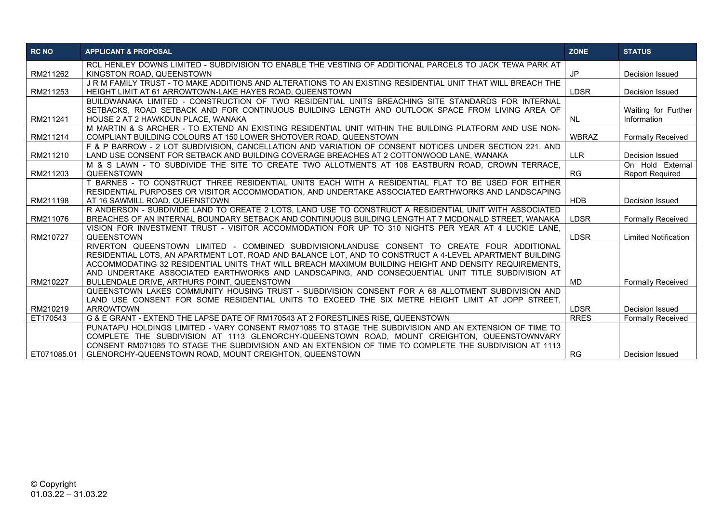| <b>RC NO</b> | <b>APPLICANT &amp; PROPOSAL</b>                                                                                                                                                                       | <b>ZONE</b>  | <b>STATUS</b>               |
|--------------|-------------------------------------------------------------------------------------------------------------------------------------------------------------------------------------------------------|--------------|-----------------------------|
|              | RCL HENLEY DOWNS LIMITED - SUBDIVISION TO ENABLE THE VESTING OF ADDITIONAL PARCELS TO JACK TEWA PARK AT                                                                                               |              |                             |
| RM211262     | KINGSTON ROAD, QUEENSTOWN                                                                                                                                                                             | JP           | Decision Issued             |
|              | J R M FAMILY TRUST - TO MAKE ADDITIONS AND ALTERATIONS TO AN EXISTING RESIDENTIAL UNIT THAT WILL BREACH THE                                                                                           |              |                             |
| RM211253     | HEIGHT LIMIT AT 61 ARROWTOWN-LAKE HAYES ROAD, QUEENSTOWN                                                                                                                                              | <b>LDSR</b>  | Decision Issued             |
|              | BUILDWANAKA LIMITED - CONSTRUCTION OF TWO RESIDENTIAL UNITS BREACHING SITE STANDARDS FOR INTERNAL                                                                                                     |              |                             |
|              | SETBACKS, ROAD SETBACK AND FOR CONTINUOUS BUILDING LENGTH AND OUTLOOK SPACE FROM LIVING AREA OF                                                                                                       |              | Waiting for Further         |
| RM211241     | HOUSE 2 AT 2 HAWKDUN PLACE, WANAKA                                                                                                                                                                    | <b>NL</b>    | Information                 |
|              | M MARTIN & S ARCHER - TO EXTEND AN EXISTING RESIDENTIAL UNIT WITHIN THE BUILDING PLATFORM AND USE NON-                                                                                                |              |                             |
| RM211214     | COMPLIANT BUILDING COLOURS AT 150 LOWER SHOTOVER ROAD, QUEENSTOWN                                                                                                                                     | <b>WBRAZ</b> | <b>Formally Received</b>    |
| RM211210     | F & P BARROW - 2 LOT SUBDIVISION, CANCELLATION AND VARIATION OF CONSENT NOTICES UNDER SECTION 221, AND<br>LAND USE CONSENT FOR SETBACK AND BUILDING COVERAGE BREACHES AT 2 COTTONWOOD LANE, WANAKA    | <b>LLR</b>   | Decision Issued             |
|              | M & S LAWN - TO SUBDIVIDE THE SITE TO CREATE TWO ALLOTMENTS AT 108 EASTBURN ROAD. CROWN TERRACE.                                                                                                      |              | On Hold External            |
| RM211203     | <b>QUEENSTOWN</b>                                                                                                                                                                                     | <b>RG</b>    | <b>Report Required</b>      |
|              | T BARNES - TO CONSTRUCT THREE RESIDENTIAL UNITS EACH WITH A RESIDENTIAL FLAT TO BE USED FOR EITHER                                                                                                    |              |                             |
|              | RESIDENTIAL PURPOSES OR VISITOR ACCOMMODATION, AND UNDERTAKE ASSOCIATED EARTHWORKS AND LANDSCAPING                                                                                                    |              |                             |
| RM211198     | AT 16 SAWMILL ROAD, QUEENSTOWN                                                                                                                                                                        | <b>HDB</b>   | Decision Issued             |
|              | R ANDERSON - SUBDIVIDE LAND TO CREATE 2 LOTS, LAND USE TO CONSTRUCT A RESIDENTIAL UNIT WITH ASSOCIATED                                                                                                |              |                             |
| RM211076     | BREACHES OF AN INTERNAL BOUNDARY SETBACK AND CONTINUOUS BUILDING LENGTH AT 7 MCDONALD STREET. WANAKA                                                                                                  | <b>LDSR</b>  | <b>Formally Received</b>    |
|              | VISION FOR INVESTMENT TRUST - VISITOR ACCOMMODATION FOR UP TO 310 NIGHTS PER YEAR AT 4 LUCKIE LANE.                                                                                                   |              |                             |
| RM210727     | <b>QUEENSTOWN</b>                                                                                                                                                                                     | <b>LDSR</b>  | <b>Limited Notification</b> |
|              | RIVERTON QUEENSTOWN LIMITED - COMBINED SUBDIVISION/LANDUSE CONSENT TO CREATE FOUR ADDITIONAL                                                                                                          |              |                             |
|              | RESIDENTIAL LOTS, AN APARTMENT LOT, ROAD AND BALANCE LOT, AND TO CONSTRUCT A 4-LEVEL APARTMENT BUILDING                                                                                               |              |                             |
|              | ACCOMMODATING 32 RESIDENTIAL UNITS THAT WILL BREACH MAXIMUM BUILDING HEIGHT AND DENSITY REQUIREMENTS.                                                                                                 |              |                             |
|              | AND UNDERTAKE ASSOCIATED EARTHWORKS AND LANDSCAPING, AND CONSEQUENTIAL UNIT TITLE SUBDIVISION AT                                                                                                      |              |                             |
| RM210227     | BULLENDALE DRIVE, ARTHURS POINT, QUEENSTOWN                                                                                                                                                           | MD           | <b>Formally Received</b>    |
|              | QUEENSTOWN LAKES COMMUNITY HOUSING TRUST - SUBDIVISION CONSENT FOR A 68 ALLOTMENT SUBDIVISION AND                                                                                                     |              |                             |
|              | LAND USE CONSENT FOR SOME RESIDENTIAL UNITS TO EXCEED THE SIX METRE HEIGHT LIMIT AT JOPP STREET.                                                                                                      |              |                             |
| RM210219     | <b>ARROWTOWN</b>                                                                                                                                                                                      | <b>LDSR</b>  | Decision Issued             |
| ET170543     | G & E GRANT - EXTEND THE LAPSE DATE OF RM170543 AT 2 FORESTLINES RISE. QUEENSTOWN                                                                                                                     | <b>RRES</b>  | <b>Formally Received</b>    |
|              | PUNATAPU HOLDINGS LIMITED - VARY CONSENT RM071085 TO STAGE THE SUBDIVISION AND AN EXTENSION OF TIME TO                                                                                                |              |                             |
|              | COMPLETE THE SUBDIVISION AT 1113 GLENORCHY-QUEENSTOWN ROAD, MOUNT CREIGHTON, QUEENSTOWNVARY<br>CONSENT RM071085 TO STAGE THE SUBDIVISION AND AN EXTENSION OF TIME TO COMPLETE THE SUBDIVISION AT 1113 |              |                             |
| ET071085.01  | GLENORCHY-QUEENSTOWN ROAD, MOUNT CREIGHTON, QUEENSTOWN                                                                                                                                                | <b>RG</b>    | Decision Issued             |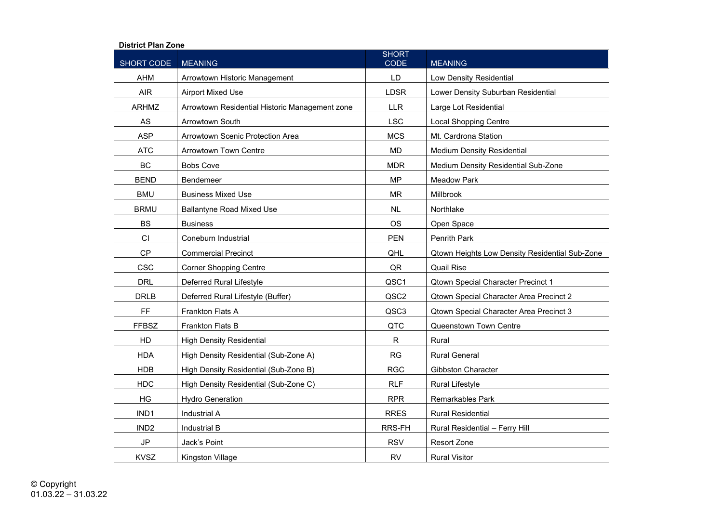## **District Plan Zone**

| SHORT CODE       | <b>MEANING</b>                                 | <b>SHORT</b><br><b>CODE</b> | <b>MEANING</b>                                 |
|------------------|------------------------------------------------|-----------------------------|------------------------------------------------|
| <b>AHM</b>       | Arrowtown Historic Management                  | LD                          | Low Density Residential                        |
| <b>AIR</b>       | <b>Airport Mixed Use</b>                       | <b>LDSR</b>                 | Lower Density Suburban Residential             |
| <b>ARHMZ</b>     | Arrowtown Residential Historic Management zone | <b>LLR</b>                  | Large Lot Residential                          |
| AS               | <b>Arrowtown South</b>                         | <b>LSC</b>                  | <b>Local Shopping Centre</b>                   |
| <b>ASP</b>       | Arrowtown Scenic Protection Area               | <b>MCS</b>                  | Mt. Cardrona Station                           |
| <b>ATC</b>       | <b>Arrowtown Town Centre</b>                   | <b>MD</b>                   | <b>Medium Density Residential</b>              |
| <b>BC</b>        | <b>Bobs Cove</b>                               | <b>MDR</b>                  | Medium Density Residential Sub-Zone            |
| <b>BEND</b>      | Bendemeer                                      | <b>MP</b>                   | <b>Meadow Park</b>                             |
| <b>BMU</b>       | <b>Business Mixed Use</b>                      | <b>MR</b>                   | Millbrook                                      |
| <b>BRMU</b>      | <b>Ballantyne Road Mixed Use</b>               | NL                          | Northlake                                      |
| <b>BS</b>        | <b>Business</b>                                | <b>OS</b>                   | Open Space                                     |
| CI               | Coneburn Industrial                            | <b>PEN</b>                  | Penrith Park                                   |
| <b>CP</b>        | <b>Commercial Precinct</b>                     | QHL                         | Qtown Heights Low Density Residential Sub-Zone |
| <b>CSC</b>       | <b>Corner Shopping Centre</b>                  | QR                          | <b>Quail Rise</b>                              |
| <b>DRL</b>       | Deferred Rural Lifestyle                       | QSC1                        | <b>Qtown Special Character Precinct 1</b>      |
| <b>DRLB</b>      | Deferred Rural Lifestyle (Buffer)              | QSC2                        | Qtown Special Character Area Precinct 2        |
| FF               | Frankton Flats A                               | QSC3                        | Qtown Special Character Area Precinct 3        |
| <b>FFBSZ</b>     | <b>Frankton Flats B</b>                        | QTC                         | Queenstown Town Centre                         |
| HD               | <b>High Density Residential</b>                | $\mathsf{R}$                | Rural                                          |
| <b>HDA</b>       | High Density Residential (Sub-Zone A)          | <b>RG</b>                   | <b>Rural General</b>                           |
| <b>HDB</b>       | High Density Residential (Sub-Zone B)          | <b>RGC</b>                  | <b>Gibbston Character</b>                      |
| <b>HDC</b>       | High Density Residential (Sub-Zone C)          | <b>RLF</b>                  | <b>Rural Lifestyle</b>                         |
| HG               | <b>Hydro Generation</b>                        | <b>RPR</b>                  | <b>Remarkables Park</b>                        |
| IND1             | <b>Industrial A</b>                            | <b>RRES</b>                 | <b>Rural Residential</b>                       |
| IND <sub>2</sub> | Industrial B                                   | RRS-FH                      | Rural Residential - Ferry Hill                 |
| $\mathsf{JP}$    | Jack's Point                                   | <b>RSV</b>                  | Resort Zone                                    |
| <b>KVSZ</b>      | Kingston Village                               | <b>RV</b>                   | <b>Rural Visitor</b>                           |